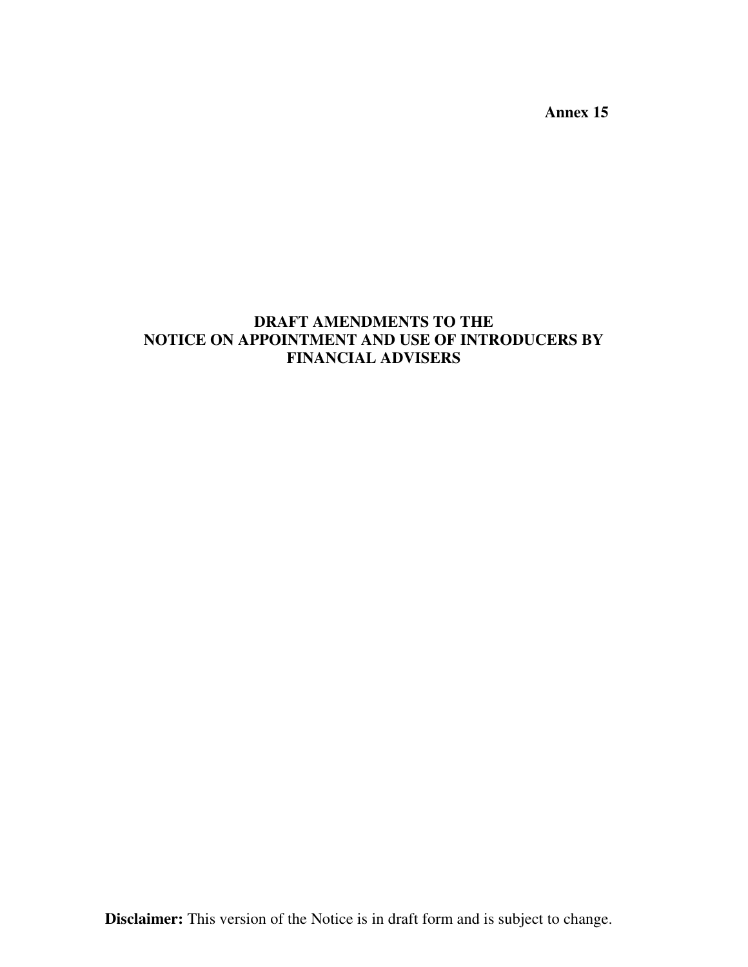**Annex 15** 

# **DRAFT AMENDMENTS TO THE NOTICE ON APPOINTMENT AND USE OF INTRODUCERS BY FINANCIAL ADVISERS**

**Disclaimer:** This version of the Notice is in draft form and is subject to change.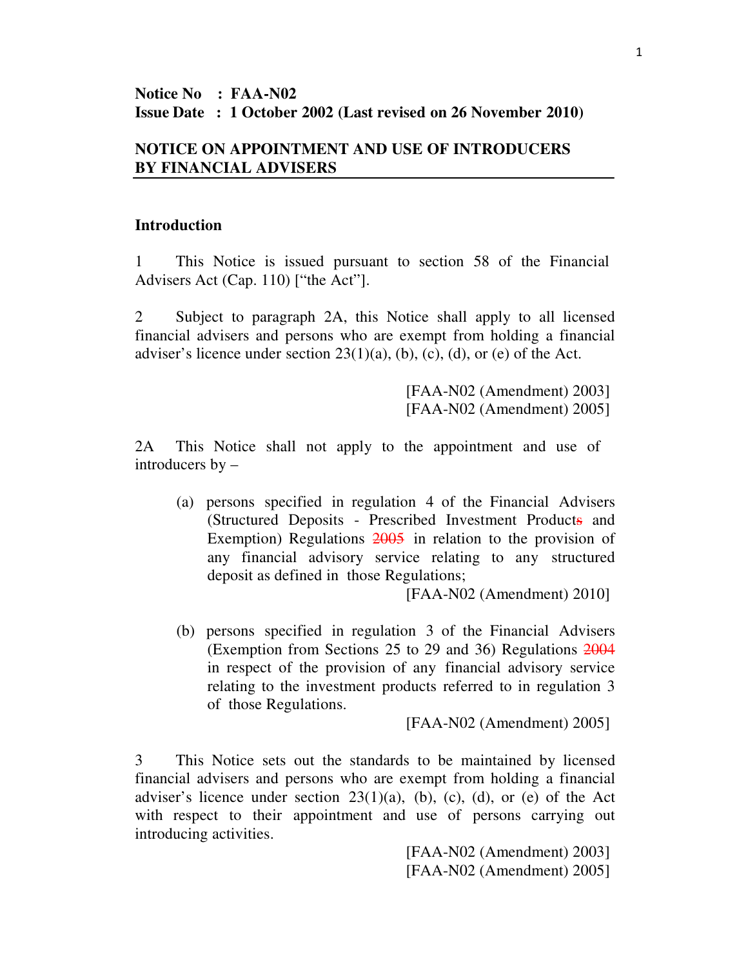### **Notice No : FAA-N02 Issue Date : 1 October 2002 (Last revised on 26 November 2010)**

### **NOTICE ON APPOINTMENT AND USE OF INTRODUCERS BY FINANCIAL ADVISERS**

#### **Introduction**

1 This Notice is issued pursuant to section 58 of the Financial Advisers Act (Cap. 110) ["the Act"].

2 Subject to paragraph 2A, this Notice shall apply to all licensed financial advisers and persons who are exempt from holding a financial adviser's licence under section  $23(1)(a)$ , (b), (c), (d), or (e) of the Act.

> [FAA-N02 (Amendment) 2003] [FAA-N02 (Amendment) 2005]

2A This Notice shall not apply to the appointment and use of introducers by –

(a) persons specified in regulation 4 of the Financial Advisers (Structured Deposits - Prescribed Investment Products and Exemption) Regulations  $\frac{2005}{200}$  in relation to the provision of any financial advisory service relating to any structured deposit as defined in those Regulations;

[FAA-N02 (Amendment) 2010]

(b) persons specified in regulation 3 of the Financial Advisers (Exemption from Sections 25 to 29 and 36) Regulations 2004 in respect of the provision of any financial advisory service relating to the investment products referred to in regulation 3 of those Regulations.

[FAA-N02 (Amendment) 2005]

3 This Notice sets out the standards to be maintained by licensed financial advisers and persons who are exempt from holding a financial adviser's licence under section  $23(1)(a)$ , (b), (c), (d), or (e) of the Act with respect to their appointment and use of persons carrying out introducing activities.

> [FAA-N02 (Amendment) 2003] [FAA-N02 (Amendment) 2005]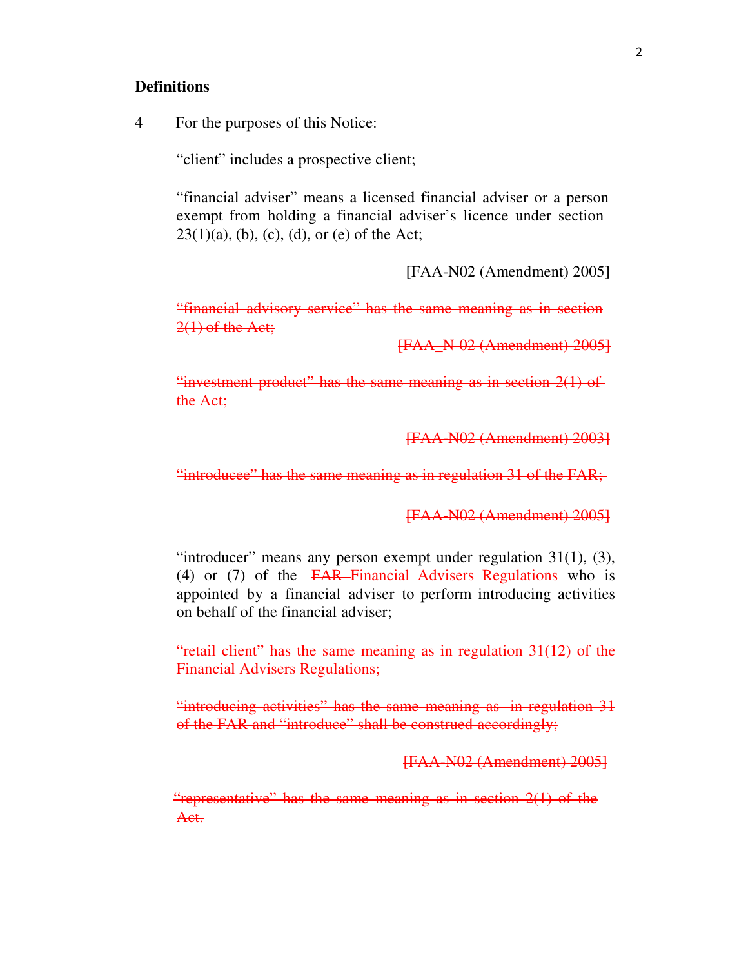#### **Definitions**

4 For the purposes of this Notice:

"client" includes a prospective client;

"financial adviser" means a licensed financial adviser or a person exempt from holding a financial adviser's licence under section  $23(1)(a)$ , (b), (c), (d), or (e) of the Act;

[FAA-N02 (Amendment) 2005]

"financial advisory service" has the same meaning as in section  $2(1)$  of the Act;

[FAA\_N-02 (Amendment) 2005]

"investment product" has the same meaning as in section 2(1) of the Act;

[FAA-N02 (Amendment) 2003]

"introducee" has the same meaning as in regulation 31 of the FAR;

[FAA-N02 (Amendment) 2005]

"introducer" means any person exempt under regulation 31(1), (3), (4) or (7) of the FAR Financial Advisers Regulations who is appointed by a financial adviser to perform introducing activities on behalf of the financial adviser;

"retail client" has the same meaning as in regulation 31(12) of the Financial Advisers Regulations;

"introducing activities" has the same meaning as in regulation 31 of the FAR and "introduce" shall be construed accordingly;

[FAA-N02 (Amendment) 2005]

"representative" has the same meaning as in section 2(1) of the Act.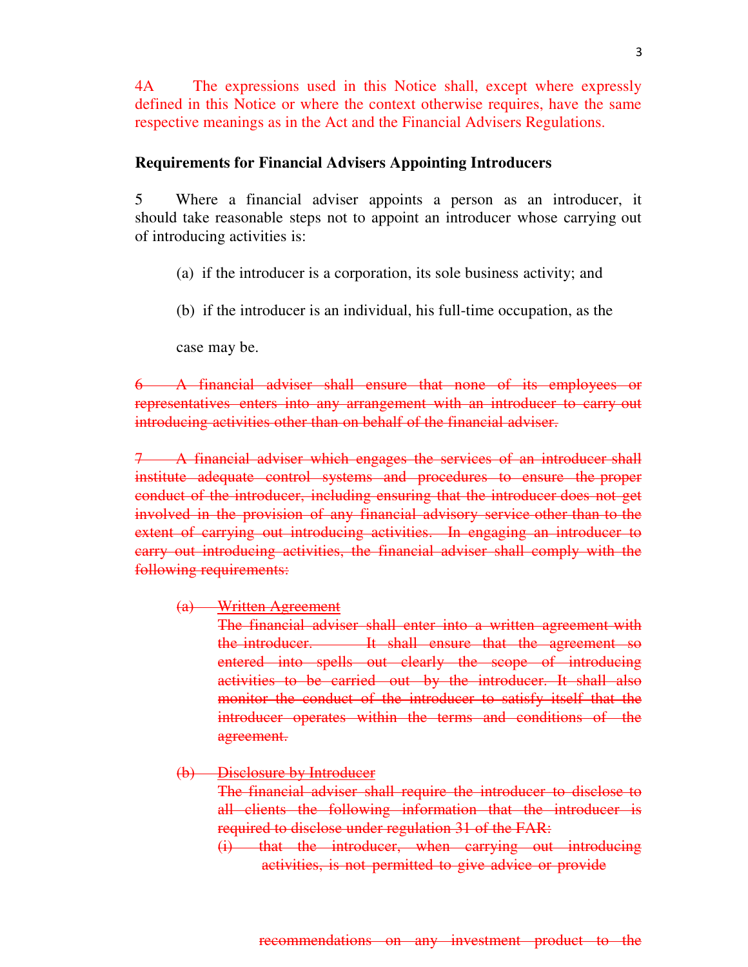4A The expressions used in this Notice shall, except where expressly defined in this Notice or where the context otherwise requires, have the same respective meanings as in the Act and the Financial Advisers Regulations.

#### **Requirements for Financial Advisers Appointing Introducers**

5 Where a financial adviser appoints a person as an introducer, it should take reasonable steps not to appoint an introducer whose carrying out of introducing activities is:

- (a) if the introducer is a corporation, its sole business activity; and
- (b) if the introducer is an individual, his full-time occupation, as the

case may be.

6 A financial adviser shall ensure that none of its employees or representatives enters into any arrangement with an introducer to carry out introducing activities other than on behalf of the financial adviser.

7 A financial adviser which engages the services of an introducer shall institute adequate control systems and procedures to ensure the proper conduct of the introducer, including ensuring that the introducer does not get involved in the provision of any financial advisory service other than to the extent of carrying out introducing activities. In engaging an introducer to carry out introducing activities, the financial adviser shall comply with the following requirements:

(a) Written Agreement

The financial adviser shall enter into a written agreement with the introducer. It shall ensure that the agreement so entered into spells out clearly the scope of introducing activities to be carried out by the introducer. It shall also monitor the conduct of the introducer to satisfy itself that the introducer operates within the terms and conditions of the agreement.

(b) Disclosure by Introducer

The financial adviser shall require the introducer to disclose to all clients the following information that the introducer is required to disclose under regulation 31 of the FAR:

(i) that the introducer, when carrying out introducing activities, is not permitted to give advice or provide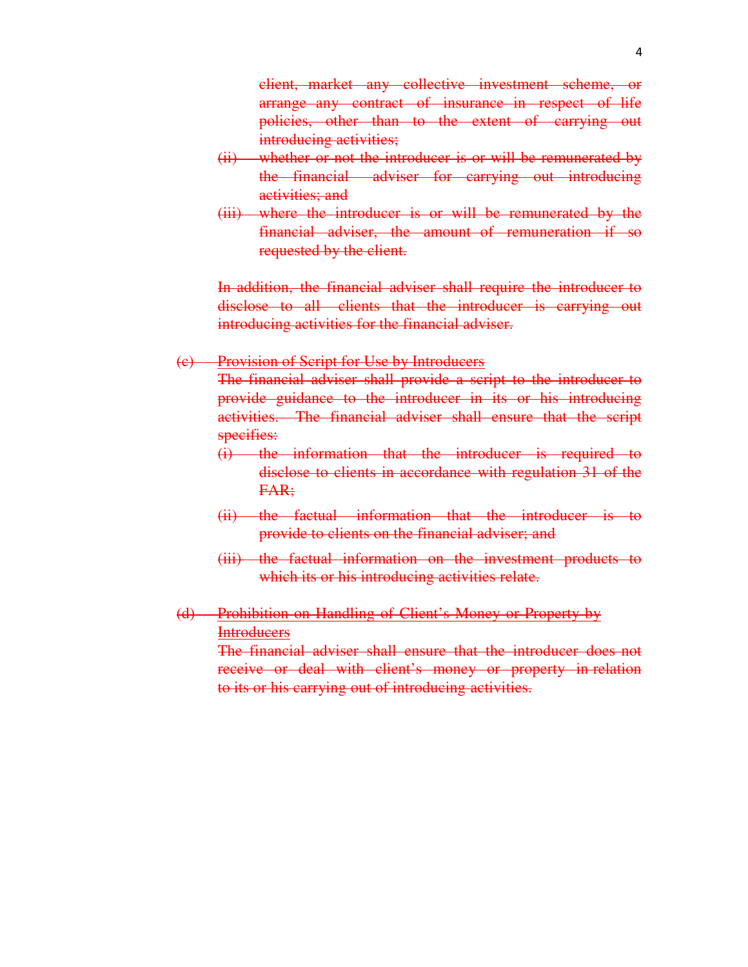client, market any collective investment scheme, or arrange any contract of insurance in respect of life policies, other than to the extent of carrying out introducing activities;

- (ii) whether or not the introducer is or will be remunerated by the financial adviser for carrying out introducing activities; and
- (iii) where the introducer is or will be remunerated by the financial adviser, the amount of remuneration if so requested by the client.

In addition, the financial adviser shall require the introducer to disclose to all clients that the introducer is carrying out introducing activities for the financial adviser.

(c) Provision of Script for Use by Introducers

The financial adviser shall provide a script to the introducer to provide guidance to the introducer in its or his introducing activities. The financial adviser shall ensure that the script specifies:

- (i) the information that the introducer is required to disclose to clients in accordance with regulation 31 of the FAR;
- (ii) the factual information that the introducer is to provide to clients on the financial adviser; and
- (iii) the factual information on the investment products to which its or his introducing activities relate.
- (d) Prohibition on Handling of Client's Money or Property by **Introducers**

The financial adviser shall ensure that the introducer does not receive or deal with client's money or property in relation to its or his carrying out of introducing activities.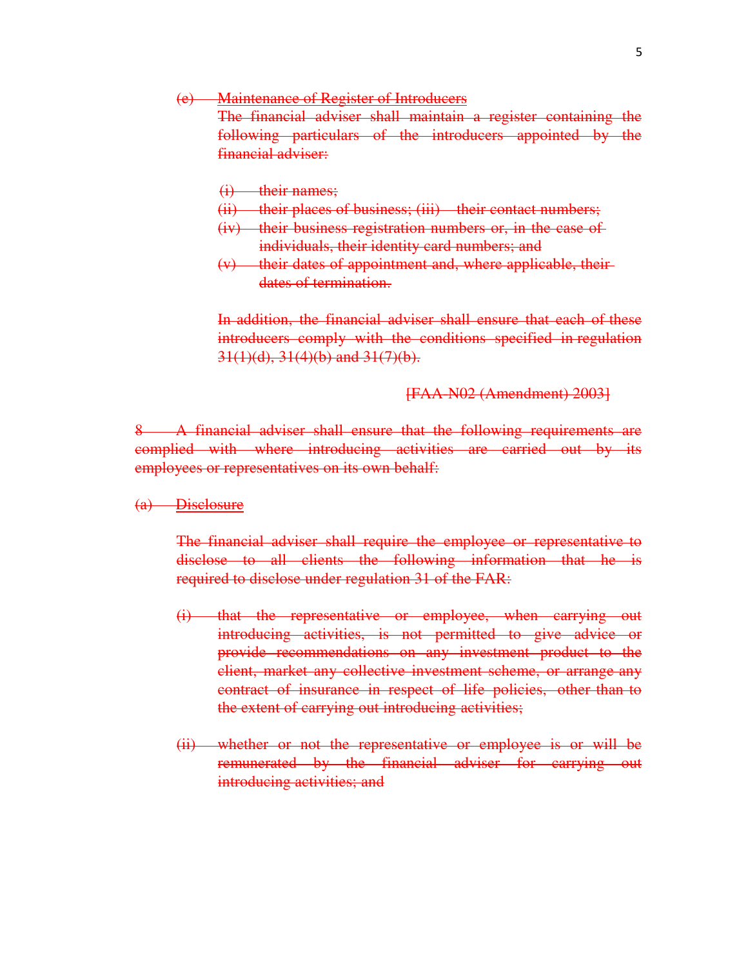#### (e) Maintenance of Register of Introducers

The financial adviser shall maintain a register containing the following particulars of the introducers appointed by the financial adviser:

 $(i)$  their names:

- (ii) their places of business; (iii) their contact numbers;
- (iv) their business registration numbers or, in the case of individuals, their identity card numbers; and
- $(v)$  their dates of appointment and, where applicable, theirdates of termination.

In addition, the financial adviser shall ensure that each of these introducers comply with the conditions specified in regulation  $31(1)(d)$ ,  $31(4)(b)$  and  $31(7)(b)$ .

[FAA-N02 (Amendment) 2003]

8 A financial adviser shall ensure that the following requirements are complied with where introducing activities are carried out by its employees or representatives on its own behalf:

(a) Disclosure

The financial adviser shall require the employee or representative to disclose to all clients the following information that he is required to disclose under regulation 31 of the FAR:

- (i) that the representative or employee, when carrying out introducing activities, is not permitted to give advice or provide recommendations on any investment product to the client, market any collective investment scheme, or arrange any contract of insurance in respect of life policies, other than to the extent of carrying out introducing activities;
- (ii) whether or not the representative or employee is or will be remunerated by the financial adviser for carrying out introducing activities; and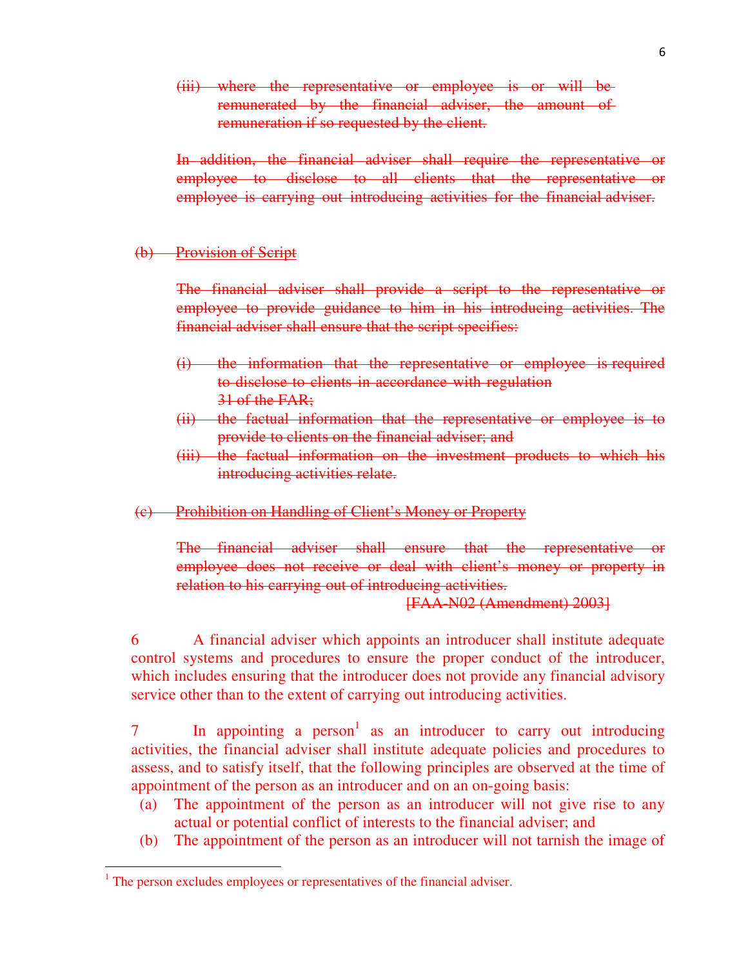(iii) where the representative or employee is or will be remunerated by the financial adviser, the amount of remuneration if so requested by the client.

In addition, the financial adviser shall require the representative or employee to disclose to all clients that the representative or employee is carrying out introducing activities for the financial adviser.

### (b) Provision of Script

The financial adviser shall provide a script to the representative or employee to provide guidance to him in his introducing activities. The financial adviser shall ensure that the script specifies:

- (i) the information that the representative or employee is required to disclose to clients in accordance with regulation 31 of the FAR;
- (ii) the factual information that the representative or employee is to provide to clients on the financial adviser; and
- (iii) the factual information on the investment products to which his introducing activities relate.

(c) Prohibition on Handling of Client's Money or Property

The financial adviser shall ensure that the representative or employee does not receive or deal with client's money or property in relation to his carrying out of introducing activities.

[FAA-N02 (Amendment) 2003]

6 A financial adviser which appoints an introducer shall institute adequate control systems and procedures to ensure the proper conduct of the introducer, which includes ensuring that the introducer does not provide any financial advisory service other than to the extent of carrying out introducing activities.

 $7$  In appointing a person<sup>1</sup> as an introducer to carry out introducing activities, the financial adviser shall institute adequate policies and procedures to assess, and to satisfy itself, that the following principles are observed at the time of appointment of the person as an introducer and on an on-going basis:

- (a) The appointment of the person as an introducer will not give rise to any actual or potential conflict of interests to the financial adviser; and
- (b) The appointment of the person as an introducer will not tarnish the image of

l

<sup>&</sup>lt;sup>1</sup> The person excludes employees or representatives of the financial adviser.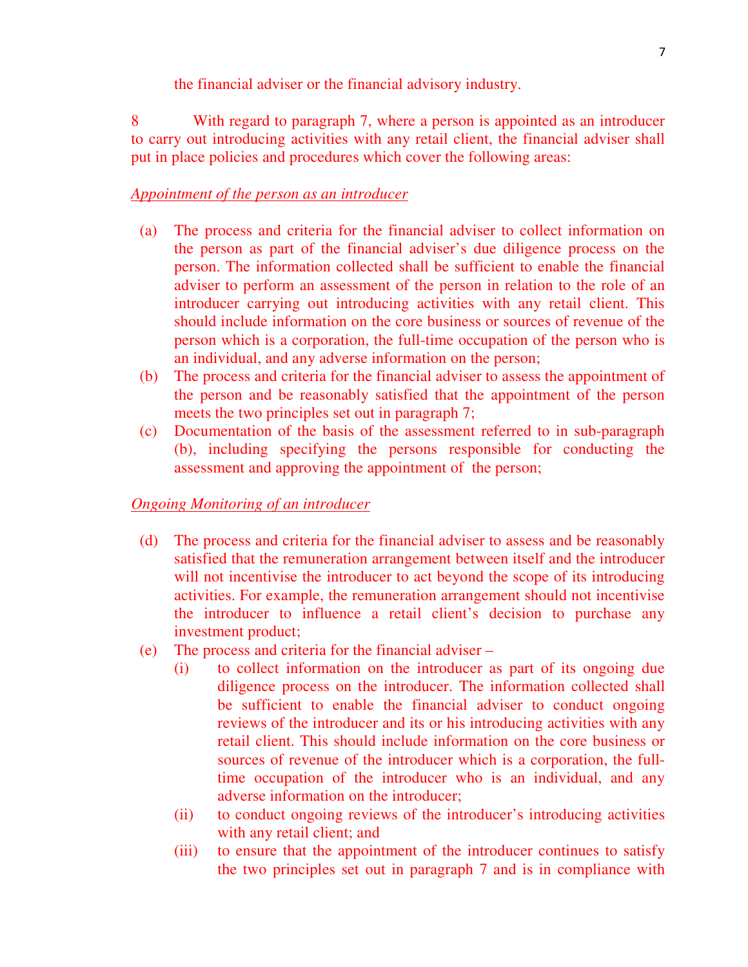the financial adviser or the financial advisory industry.

8 With regard to paragraph 7, where a person is appointed as an introducer to carry out introducing activities with any retail client, the financial adviser shall put in place policies and procedures which cover the following areas:

### *Appointment of the person as an introducer*

- (a) The process and criteria for the financial adviser to collect information on the person as part of the financial adviser's due diligence process on the person. The information collected shall be sufficient to enable the financial adviser to perform an assessment of the person in relation to the role of an introducer carrying out introducing activities with any retail client. This should include information on the core business or sources of revenue of the person which is a corporation, the full-time occupation of the person who is an individual, and any adverse information on the person;
- (b) The process and criteria for the financial adviser to assess the appointment of the person and be reasonably satisfied that the appointment of the person meets the two principles set out in paragraph 7;
- (c) Documentation of the basis of the assessment referred to in sub-paragraph (b), including specifying the persons responsible for conducting the assessment and approving the appointment of the person;

### *Ongoing Monitoring of an introducer*

- (d) The process and criteria for the financial adviser to assess and be reasonably satisfied that the remuneration arrangement between itself and the introducer will not incentivise the introducer to act beyond the scope of its introducing activities. For example, the remuneration arrangement should not incentivise the introducer to influence a retail client's decision to purchase any investment product;
- (e) The process and criteria for the financial adviser
	- (i) to collect information on the introducer as part of its ongoing due diligence process on the introducer. The information collected shall be sufficient to enable the financial adviser to conduct ongoing reviews of the introducer and its or his introducing activities with any retail client. This should include information on the core business or sources of revenue of the introducer which is a corporation, the fulltime occupation of the introducer who is an individual, and any adverse information on the introducer;
	- (ii) to conduct ongoing reviews of the introducer's introducing activities with any retail client; and
	- (iii) to ensure that the appointment of the introducer continues to satisfy the two principles set out in paragraph 7 and is in compliance with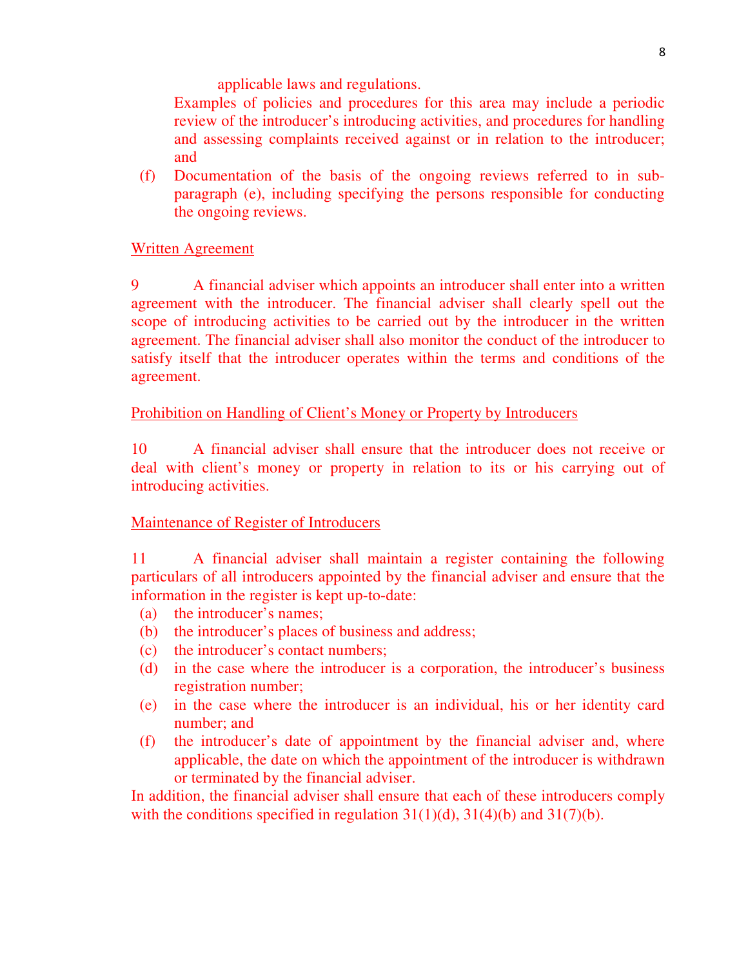# applicable laws and regulations.

 Examples of policies and procedures for this area may include a periodic review of the introducer's introducing activities, and procedures for handling and assessing complaints received against or in relation to the introducer; and

(f) Documentation of the basis of the ongoing reviews referred to in subparagraph (e), including specifying the persons responsible for conducting the ongoing reviews.

## Written Agreement

9 A financial adviser which appoints an introducer shall enter into a written agreement with the introducer. The financial adviser shall clearly spell out the scope of introducing activities to be carried out by the introducer in the written agreement. The financial adviser shall also monitor the conduct of the introducer to satisfy itself that the introducer operates within the terms and conditions of the agreement.

## Prohibition on Handling of Client's Money or Property by Introducers

10 A financial adviser shall ensure that the introducer does not receive or deal with client's money or property in relation to its or his carrying out of introducing activities.

# Maintenance of Register of Introducers

11 A financial adviser shall maintain a register containing the following particulars of all introducers appointed by the financial adviser and ensure that the information in the register is kept up-to-date:

- (a) the introducer's names;
- (b) the introducer's places of business and address;
- (c) the introducer's contact numbers;
- (d) in the case where the introducer is a corporation, the introducer's business registration number;
- (e) in the case where the introducer is an individual, his or her identity card number; and
- (f) the introducer's date of appointment by the financial adviser and, where applicable, the date on which the appointment of the introducer is withdrawn or terminated by the financial adviser.

In addition, the financial adviser shall ensure that each of these introducers comply with the conditions specified in regulation  $31(1)(d)$ ,  $31(4)(b)$  and  $31(7)(b)$ .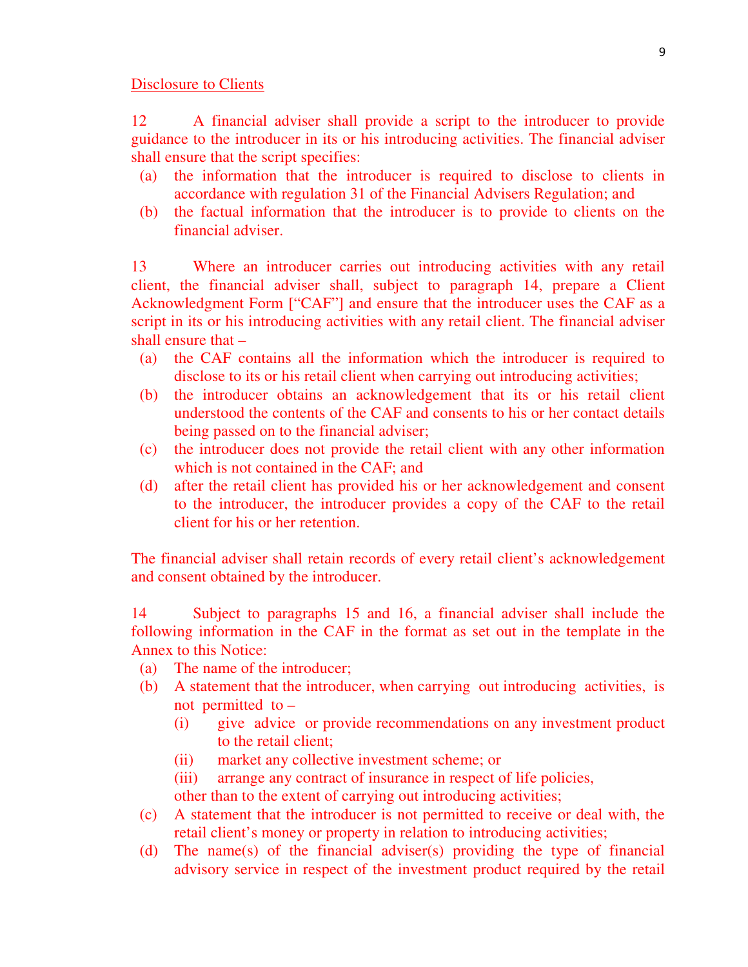#### Disclosure to Clients

12 A financial adviser shall provide a script to the introducer to provide guidance to the introducer in its or his introducing activities. The financial adviser shall ensure that the script specifies:

- (a) the information that the introducer is required to disclose to clients in accordance with regulation 31 of the Financial Advisers Regulation; and
- (b) the factual information that the introducer is to provide to clients on the financial adviser.

13 Where an introducer carries out introducing activities with any retail client, the financial adviser shall, subject to paragraph 14, prepare a Client Acknowledgment Form ["CAF"] and ensure that the introducer uses the CAF as a script in its or his introducing activities with any retail client. The financial adviser shall ensure that –

- (a) the CAF contains all the information which the introducer is required to disclose to its or his retail client when carrying out introducing activities;
- (b) the introducer obtains an acknowledgement that its or his retail client understood the contents of the CAF and consents to his or her contact details being passed on to the financial adviser;
- (c) the introducer does not provide the retail client with any other information which is not contained in the CAF; and
- (d) after the retail client has provided his or her acknowledgement and consent to the introducer, the introducer provides a copy of the CAF to the retail client for his or her retention.

The financial adviser shall retain records of every retail client's acknowledgement and consent obtained by the introducer.

14 Subject to paragraphs 15 and 16, a financial adviser shall include the following information in the CAF in the format as set out in the template in the Annex to this Notice:

- (a) The name of the introducer;
- (b) A statement that the introducer, when carrying out introducing activities, is not permitted to  $-$ 
	- (i) give advice or provide recommendations on any investment product to the retail client;
	- (ii) market any collective investment scheme; or
	- (iii) arrange any contract of insurance in respect of life policies,

other than to the extent of carrying out introducing activities;

- (c) A statement that the introducer is not permitted to receive or deal with, the retail client's money or property in relation to introducing activities;
- (d) The name(s) of the financial adviser(s) providing the type of financial advisory service in respect of the investment product required by the retail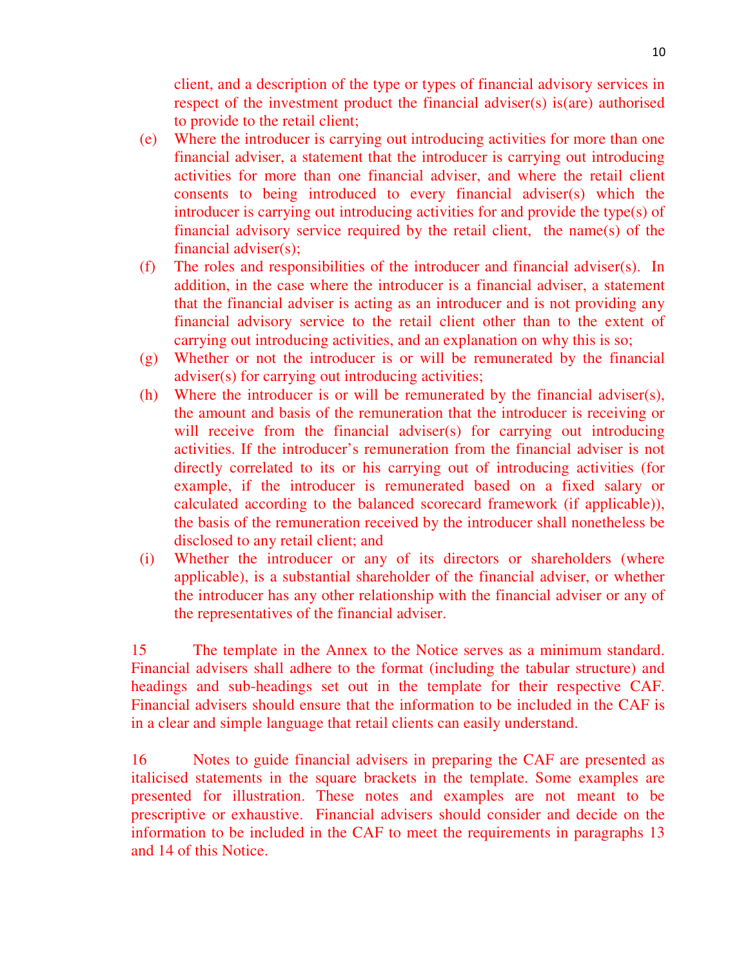client, and a description of the type or types of financial advisory services in respect of the investment product the financial adviser(s) is(are) authorised to provide to the retail client;

- (e) Where the introducer is carrying out introducing activities for more than one financial adviser, a statement that the introducer is carrying out introducing activities for more than one financial adviser, and where the retail client consents to being introduced to every financial adviser(s) which the introducer is carrying out introducing activities for and provide the type(s) of financial advisory service required by the retail client, the name(s) of the financial adviser(s);
- (f) The roles and responsibilities of the introducer and financial adviser(s). In addition, in the case where the introducer is a financial adviser, a statement that the financial adviser is acting as an introducer and is not providing any financial advisory service to the retail client other than to the extent of carrying out introducing activities, and an explanation on why this is so;
- (g) Whether or not the introducer is or will be remunerated by the financial adviser(s) for carrying out introducing activities;
- (h) Where the introducer is or will be remunerated by the financial adviser(s), the amount and basis of the remuneration that the introducer is receiving or will receive from the financial adviser(s) for carrying out introducing activities. If the introducer's remuneration from the financial adviser is not directly correlated to its or his carrying out of introducing activities (for example, if the introducer is remunerated based on a fixed salary or calculated according to the balanced scorecard framework (if applicable)), the basis of the remuneration received by the introducer shall nonetheless be disclosed to any retail client; and
- (i) Whether the introducer or any of its directors or shareholders (where applicable), is a substantial shareholder of the financial adviser, or whether the introducer has any other relationship with the financial adviser or any of the representatives of the financial adviser.

15 The template in the Annex to the Notice serves as a minimum standard. Financial advisers shall adhere to the format (including the tabular structure) and headings and sub-headings set out in the template for their respective CAF. Financial advisers should ensure that the information to be included in the CAF is in a clear and simple language that retail clients can easily understand.

16 Notes to guide financial advisers in preparing the CAF are presented as italicised statements in the square brackets in the template. Some examples are presented for illustration. These notes and examples are not meant to be prescriptive or exhaustive. Financial advisers should consider and decide on the information to be included in the CAF to meet the requirements in paragraphs 13 and 14 of this Notice.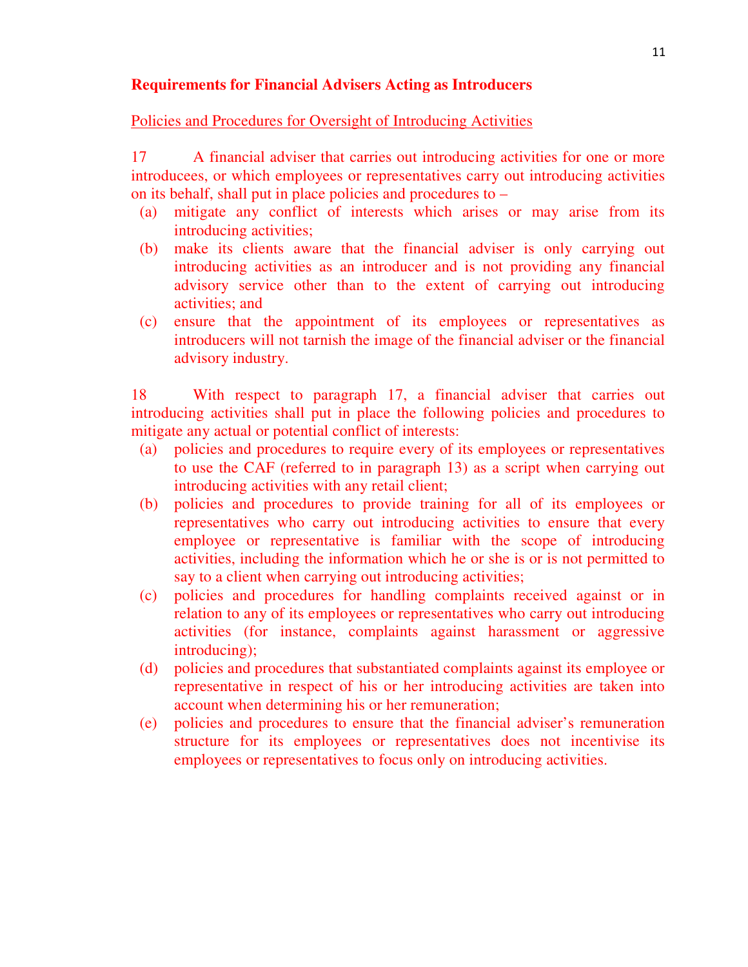# **Requirements for Financial Advisers Acting as Introducers**

## Policies and Procedures for Oversight of Introducing Activities

17 A financial adviser that carries out introducing activities for one or more introducees, or which employees or representatives carry out introducing activities on its behalf, shall put in place policies and procedures to –

- (a) mitigate any conflict of interests which arises or may arise from its introducing activities;
- (b) make its clients aware that the financial adviser is only carrying out introducing activities as an introducer and is not providing any financial advisory service other than to the extent of carrying out introducing activities; and
- (c) ensure that the appointment of its employees or representatives as introducers will not tarnish the image of the financial adviser or the financial advisory industry.

18 With respect to paragraph 17, a financial adviser that carries out introducing activities shall put in place the following policies and procedures to mitigate any actual or potential conflict of interests:

- (a) policies and procedures to require every of its employees or representatives to use the CAF (referred to in paragraph 13) as a script when carrying out introducing activities with any retail client;
- (b) policies and procedures to provide training for all of its employees or representatives who carry out introducing activities to ensure that every employee or representative is familiar with the scope of introducing activities, including the information which he or she is or is not permitted to say to a client when carrying out introducing activities;
- (c) policies and procedures for handling complaints received against or in relation to any of its employees or representatives who carry out introducing activities (for instance, complaints against harassment or aggressive introducing);
- (d) policies and procedures that substantiated complaints against its employee or representative in respect of his or her introducing activities are taken into account when determining his or her remuneration;
- (e) policies and procedures to ensure that the financial adviser's remuneration structure for its employees or representatives does not incentivise its employees or representatives to focus only on introducing activities.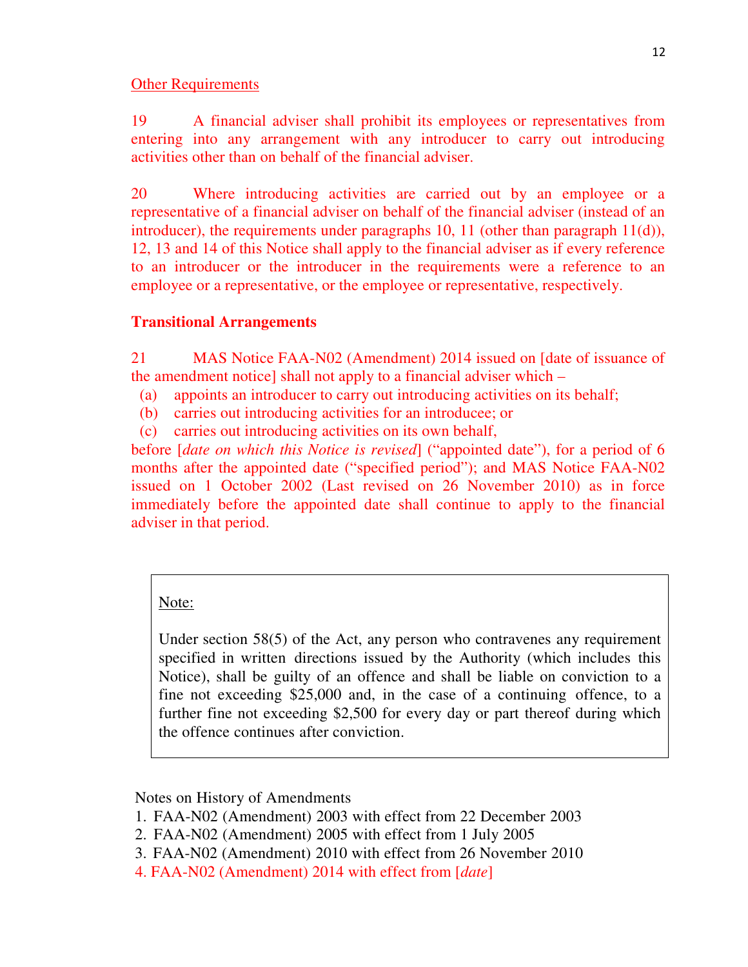### **Other Requirements**

19 A financial adviser shall prohibit its employees or representatives from entering into any arrangement with any introducer to carry out introducing activities other than on behalf of the financial adviser.

20 Where introducing activities are carried out by an employee or a representative of a financial adviser on behalf of the financial adviser (instead of an introducer), the requirements under paragraphs 10, 11 (other than paragraph 11(d)), 12, 13 and 14 of this Notice shall apply to the financial adviser as if every reference to an introducer or the introducer in the requirements were a reference to an employee or a representative, or the employee or representative, respectively.

# **Transitional Arrangements**

21 MAS Notice FAA-N02 (Amendment) 2014 issued on [date of issuance of the amendment notice] shall not apply to a financial adviser which –

- (a) appoints an introducer to carry out introducing activities on its behalf;
- (b) carries out introducing activities for an introducee; or
- (c) carries out introducing activities on its own behalf,

before [*date on which this Notice is revised*] ("appointed date"), for a period of 6 months after the appointed date ("specified period"); and MAS Notice FAA-N02 issued on 1 October 2002 (Last revised on 26 November 2010) as in force immediately before the appointed date shall continue to apply to the financial adviser in that period.

# Note:

Under section 58(5) of the Act, any person who contravenes any requirement specified in written directions issued by the Authority (which includes this Notice), shall be guilty of an offence and shall be liable on conviction to a fine not exceeding \$25,000 and, in the case of a continuing offence, to a further fine not exceeding \$2,500 for every day or part thereof during which the offence continues after conviction.

Notes on History of Amendments

- 1. FAA-N02 (Amendment) 2003 with effect from 22 December 2003
- 2. FAA-N02 (Amendment) 2005 with effect from 1 July 2005
- 3. FAA-N02 (Amendment) 2010 with effect from 26 November 2010
- 4. FAA-N02 (Amendment) 2014 with effect from [*date*]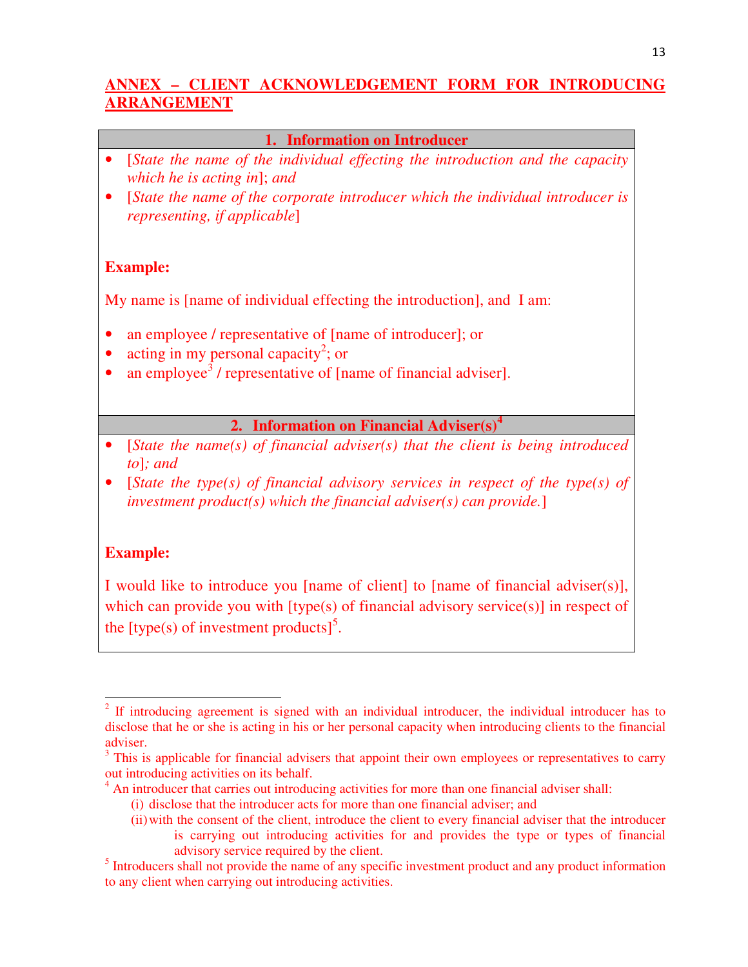# **ANNEX – CLIENT ACKNOWLEDGEMENT FORM FOR INTRODUCING ARRANGEMENT**

### **1. Information on Introducer**

- [*State the name of the individual effecting the introduction and the capacity which he is acting in*]; *and*
- [*State the name of the corporate introducer which the individual introducer is representing, if applicable*]

## **Example:**

My name is [name of individual effecting the introduction], and I am:

- an employee / representative of [name of introducer]; or
- acting in my personal capacity<sup>2</sup>; or
- an employee<sup>3</sup> / representative of [name of financial adviser].

## **2. Information on Financial Adviser(s)<sup>4</sup>**

- [*State the name(s) of financial adviser(s) that the client is being introduced to*]*; and*
- [*State the type(s) of financial advisory services in respect of the type(s) of investment product(s) which the financial adviser(s) can provide.*]

# **Example:**

l

I would like to introduce you [name of client] to [name of financial adviser(s)], which can provide you with [type(s) of financial advisory service(s)] in respect of the [type(s) of investment products]<sup>5</sup>.

 $2$  If introducing agreement is signed with an individual introducer, the individual introducer has to disclose that he or she is acting in his or her personal capacity when introducing clients to the financial adviser.

<sup>&</sup>lt;sup>3</sup> This is applicable for financial advisers that appoint their own employees or representatives to carry out introducing activities on its behalf.

<sup>&</sup>lt;sup>4</sup> An introducer that carries out introducing activities for more than one financial adviser shall:

<sup>(</sup>i) disclose that the introducer acts for more than one financial adviser; and

<sup>(</sup>ii)with the consent of the client, introduce the client to every financial adviser that the introducer is carrying out introducing activities for and provides the type or types of financial advisory service required by the client.

<sup>&</sup>lt;sup>5</sup> Introducers shall not provide the name of any specific investment product and any product information to any client when carrying out introducing activities.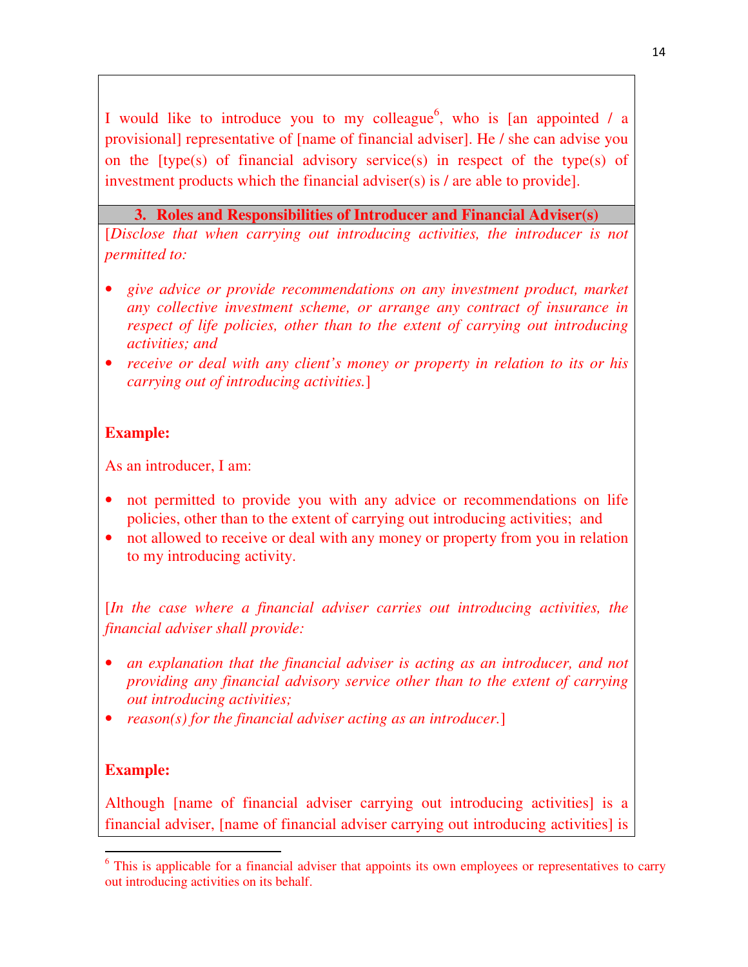I would like to introduce you to my colleague, who is [an appointed  $\ell$  a provisional] representative of [name of financial adviser]. He / she can advise you on the [type(s) of financial advisory service(s) in respect of the type(s) of investment products which the financial adviser(s) is / are able to provide].

### **3. Roles and Responsibilities of Introducer and Financial Adviser(s)**

[*Disclose that when carrying out introducing activities, the introducer is not permitted to:* 

- *give advice or provide recommendations on any investment product, market any collective investment scheme, or arrange any contract of insurance in respect of life policies, other than to the extent of carrying out introducing activities; and*
- *receive or deal with any client's money or property in relation to its or his carrying out of introducing activities.*]

### **Example:**

As an introducer, I am:

- not permitted to provide you with any advice or recommendations on life policies, other than to the extent of carrying out introducing activities; and
- not allowed to receive or deal with any money or property from you in relation to my introducing activity.

[*In the case where a financial adviser carries out introducing activities, the financial adviser shall provide:* 

- *an explanation that the financial adviser is acting as an introducer, and not providing any financial advisory service other than to the extent of carrying out introducing activities;*
- *reason(s) for the financial adviser acting as an introducer.*]

#### **Example:**

 $\overline{a}$ 

Although [name of financial adviser carrying out introducing activities] is a financial adviser, [name of financial adviser carrying out introducing activities] is

<sup>&</sup>lt;sup>6</sup> This is applicable for a financial adviser that appoints its own employees or representatives to carry out introducing activities on its behalf.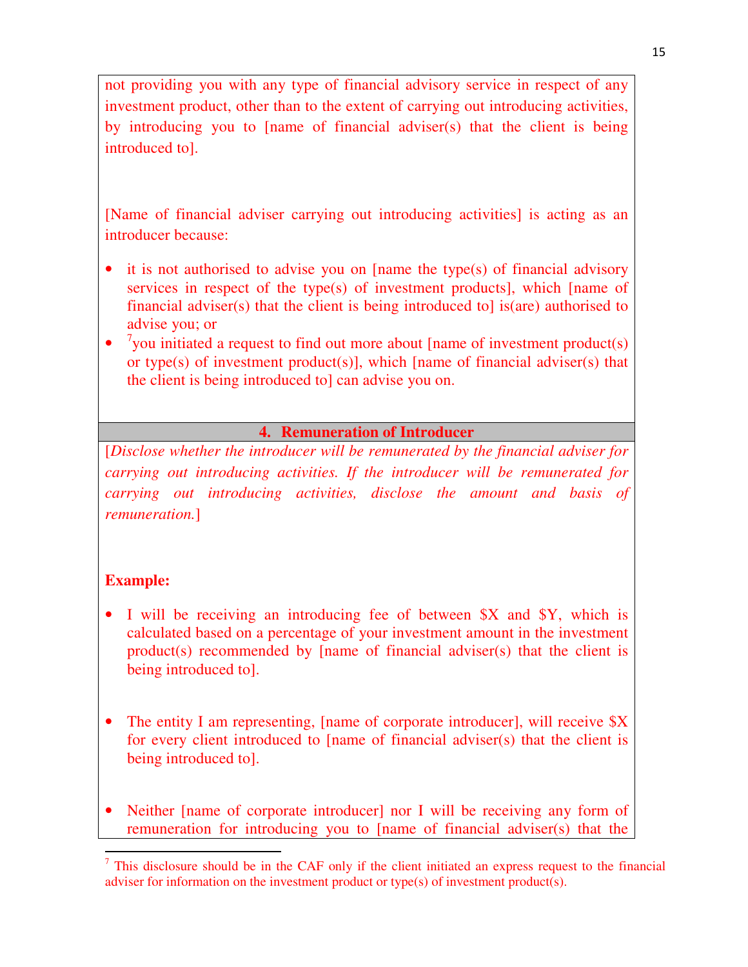not providing you with any type of financial advisory service in respect of any investment product, other than to the extent of carrying out introducing activities, by introducing you to [name of financial adviser(s) that the client is being introduced to].

[Name of financial adviser carrying out introducing activities] is acting as an introducer because:

- it is not authorised to advise you on [name the type(s) of financial advisory services in respect of the type(s) of investment products], which [name of financial adviser(s) that the client is being introduced to] is(are) authorised to advise you; or
- $\gamma$ you initiated a request to find out more about [name of investment product(s) or type(s) of investment product(s)], which [name of financial adviser(s) that the client is being introduced to] can advise you on.

### **4. Remuneration of Introducer**

[*Disclose whether the introducer will be remunerated by the financial adviser for carrying out introducing activities. If the introducer will be remunerated for carrying out introducing activities, disclose the amount and basis of remuneration.*]

### **Example:**

 $\overline{a}$ 

- I will be receiving an introducing fee of between \$X and \$Y, which is calculated based on a percentage of your investment amount in the investment product(s) recommended by [name of financial adviser(s) that the client is being introduced to].
- The entity I am representing, [name of corporate introducer], will receive \$X for every client introduced to [name of financial adviser(s) that the client is being introduced to].
- Neither [name of corporate introducer] nor I will be receiving any form of remuneration for introducing you to [name of financial adviser(s) that the

 $<sup>7</sup>$  This disclosure should be in the CAF only if the client initiated an express request to the financial</sup> adviser for information on the investment product or type(s) of investment product(s).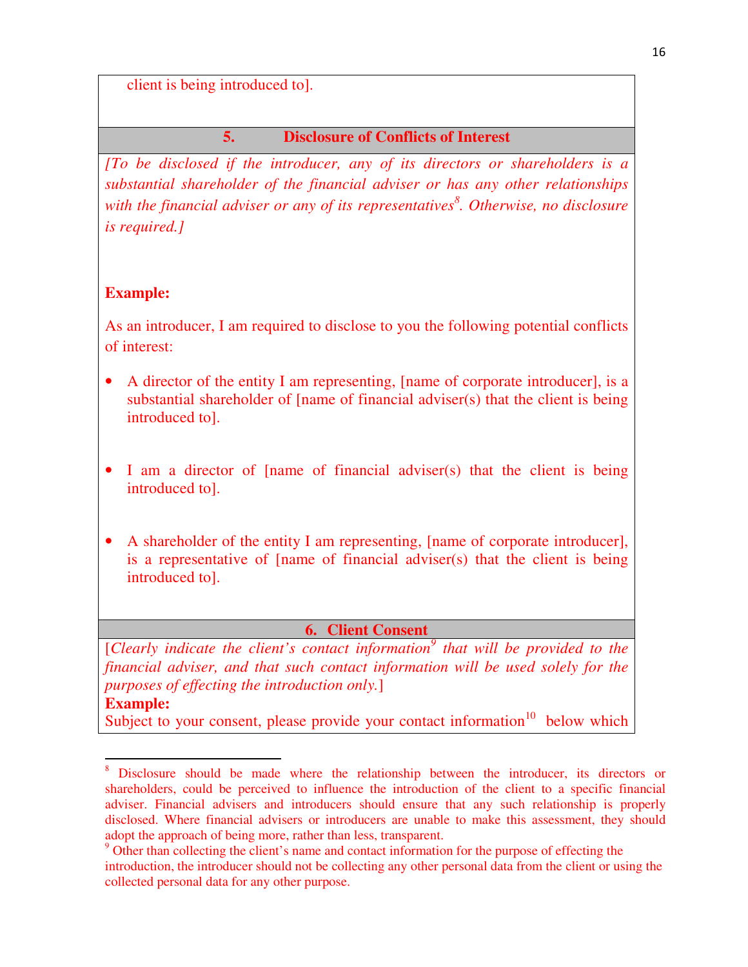client is being introduced to].

# **5. Disclosure of Conflicts of Interest**

*[To be disclosed if the introducer, any of its directors or shareholders is a substantial shareholder of the financial adviser or has any other relationships with the financial adviser or any of its representatives<sup>8</sup> . Otherwise, no disclosure is required.]* 

# **Example:**

As an introducer, I am required to disclose to you the following potential conflicts of interest:

- A director of the entity I am representing, [name of corporate introducer], is a substantial shareholder of [name of financial adviser(s) that the client is being introduced to].
- I am a director of [name of financial adviser(s) that the client is being introduced to].
- A shareholder of the entity I am representing, [name of corporate introducer], is a representative of [name of financial adviser(s) that the client is being introduced to].

### **6. Client Consent**

[*Clearly indicate the client's contact information*<sup>9</sup> that will be provided to the *financial adviser, and that such contact information will be used solely for the purposes of effecting the introduction only.*]

### **Example:**

l

Subject to your consent, please provide your contact information<sup>10</sup> below which

<sup>&</sup>lt;sup>8</sup> Disclosure should be made where the relationship between the introducer, its directors or shareholders, could be perceived to influence the introduction of the client to a specific financial adviser. Financial advisers and introducers should ensure that any such relationship is properly disclosed. Where financial advisers or introducers are unable to make this assessment, they should adopt the approach of being more, rather than less, transparent.

<sup>&</sup>lt;sup>9</sup> Other than collecting the client's name and contact information for the purpose of effecting the introduction, the introducer should not be collecting any other personal data from the client or using the collected personal data for any other purpose.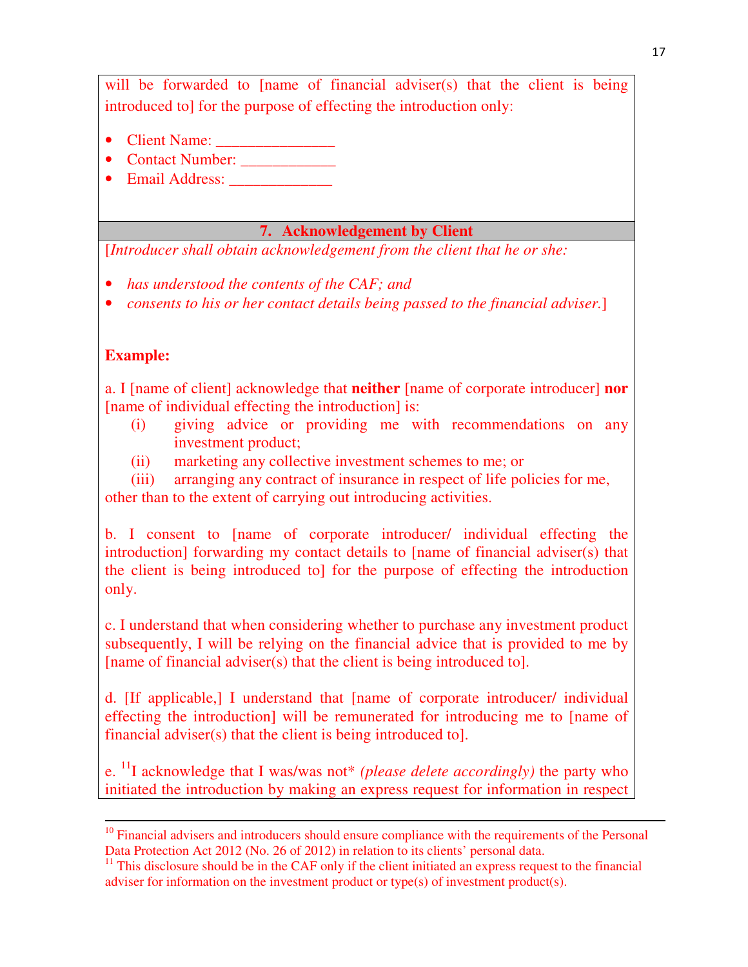will be forwarded to [name of financial adviser(s) that the client is being introduced to] for the purpose of effecting the introduction only:

- Client Name:
- Contact Number: \_\_\_\_\_\_\_\_\_\_\_\_
- Email Address:

# **7. Acknowledgement by Client**

[*Introducer shall obtain acknowledgement from the client that he or she:* 

- *has understood the contents of the CAF; and*
- *consents to his or her contact details being passed to the financial adviser.*]

# **Example:**

l

a. I [name of client] acknowledge that **neither** [name of corporate introducer] **nor** [name of individual effecting the introduction] is:

- (i) giving advice or providing me with recommendations on any investment product;
- (ii) marketing any collective investment schemes to me; or

(iii) arranging any contract of insurance in respect of life policies for me, other than to the extent of carrying out introducing activities.

b. I consent to [name of corporate introducer/ individual effecting the introduction] forwarding my contact details to [name of financial adviser(s) that the client is being introduced to] for the purpose of effecting the introduction only.

c. I understand that when considering whether to purchase any investment product subsequently, I will be relying on the financial advice that is provided to me by [name of financial adviser(s) that the client is being introduced to].

d. [If applicable,] I understand that [name of corporate introducer/ individual effecting the introduction] will be remunerated for introducing me to [name of financial adviser(s) that the client is being introduced to].

e. <sup>11</sup>I acknowledge that I was/was not\* *(please delete accordingly)* the party who initiated the introduction by making an express request for information in respect

<sup>&</sup>lt;sup>10</sup> Financial advisers and introducers should ensure compliance with the requirements of the Personal Data Protection Act 2012 (No. 26 of 2012) in relation to its clients' personal data.

 $<sup>11</sup>$  This disclosure should be in the CAF only if the client initiated an express request to the financial</sup> adviser for information on the investment product or type(s) of investment product(s).